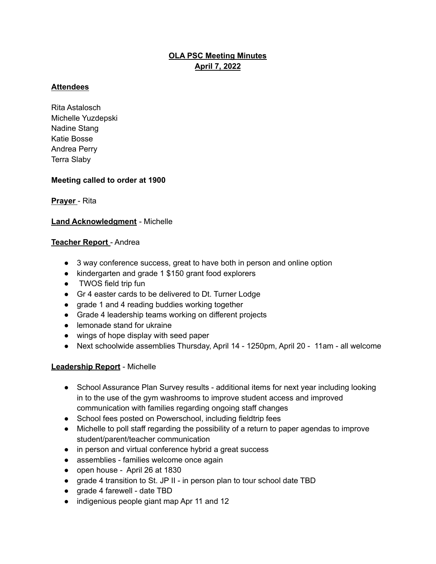# **OLA PSC Meeting Minutes April 7, 2022**

## **Attendees**

Rita Astalosch Michelle Yuzdepski Nadine Stang Katie Bosse Andrea Perry Terra Slaby

## **Meeting called to order at 1900**

## **Prayer** - Rita

## **Land Acknowledgment** - Michelle

## **Teacher Report** - Andrea

- 3 way conference success, great to have both in person and online option
- kindergarten and grade 1 \$150 grant food explorers
- TWOS field trip fun
- Gr 4 easter cards to be delivered to Dt. Turner Lodge
- grade 1 and 4 reading buddies working together
- Grade 4 leadership teams working on different projects
- lemonade stand for ukraine
- wings of hope display with seed paper
- Next schoolwide assemblies Thursday, April 14 1250pm, April 20 11am all welcome

#### **Leadership Report** - Michelle

- School Assurance Plan Survey results additional items for next year including looking in to the use of the gym washrooms to improve student access and improved communication with families regarding ongoing staff changes
- School fees posted on Powerschool, including fieldtrip fees
- Michelle to poll staff regarding the possibility of a return to paper agendas to improve student/parent/teacher communication
- in person and virtual conference hybrid a great success
- assemblies families welcome once again
- open house April 26 at 1830
- grade 4 transition to St. JP II in person plan to tour school date TBD
- grade 4 farewell date TBD
- indigenious people giant map Apr 11 and 12